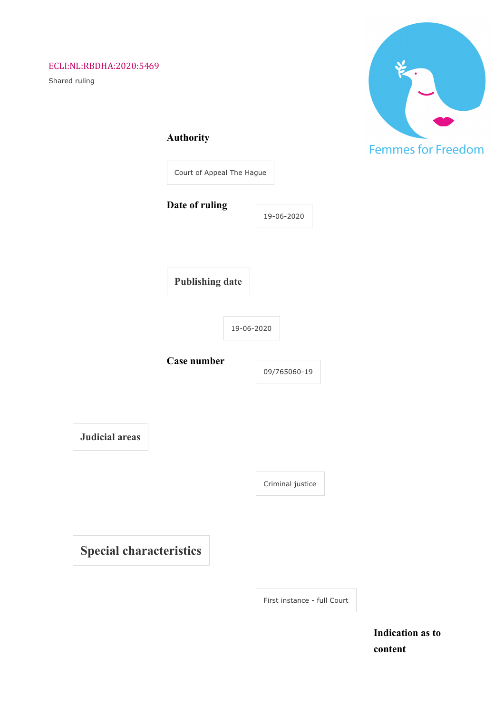# ECLI:NL:RBDHA:2020:5469

Shared ruling



|  | <b>Authority</b> |  |
|--|------------------|--|
|  |                  |  |

 $\begin{array}{c} \hline \end{array}$ 

|                        | Court of Appeal The Hague |            |
|------------------------|---------------------------|------------|
| Date of ruling         |                           | 19-06-2020 |
| <b>Publishing date</b> |                           |            |
|                        |                           |            |
|                        | 19-06-2020                |            |

**Judicial areas**

Criminal justice

**Special characteristics**

First instance - full Court

**Indication as to content**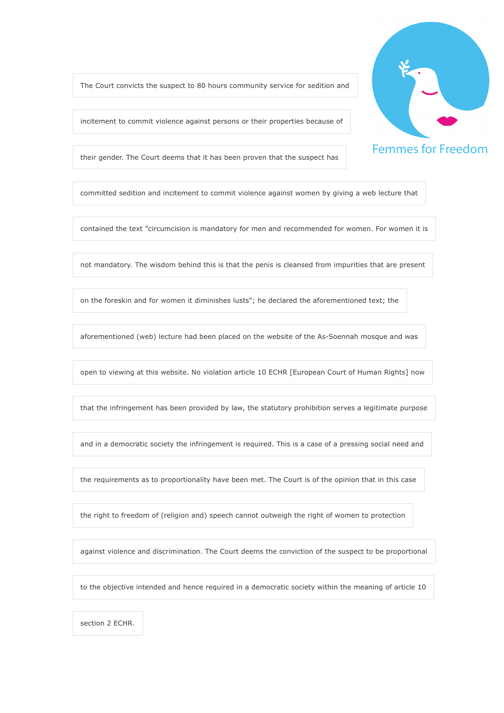The Court convicts the suspect to 80 hours community service for sedition and

incitement to commit violence against persons or their properties because of

their gender. The Court deems that it has been proven that the suspect has

committed sedition and incitement to commit violence against women by giving a web lecture that

contained the text "circumcision is mandatory for men and recommended for women. For women it is

not mandatory. The wisdom behind this is that the penis is cleansed from impurities that are present

on the foreskin and for women it diminishes lusts"; he declared the aforementioned text; the

aforementioned (web) lecture had been placed on the website of the As-Soennah mosque and was

open to viewing at this website. No violation article 10 ECHR [European Court of Human Rights] now

that the infringement has been provided by law, the statutory prohibition serves a legitimate purpose

and in a democratic society the infringement is required. This is a case of a pressing social need and

the requirements as to proportionality have been met. The Court is of the opinion that in this case

the right to freedom of (religion and) speech cannot outweigh the right of women to protection

against violence and discrimination. The Court deems the conviction of the suspect to be proportional

to the objective intended and hence required in a democratic society within the meaning of article 10

section 2 ECHR.

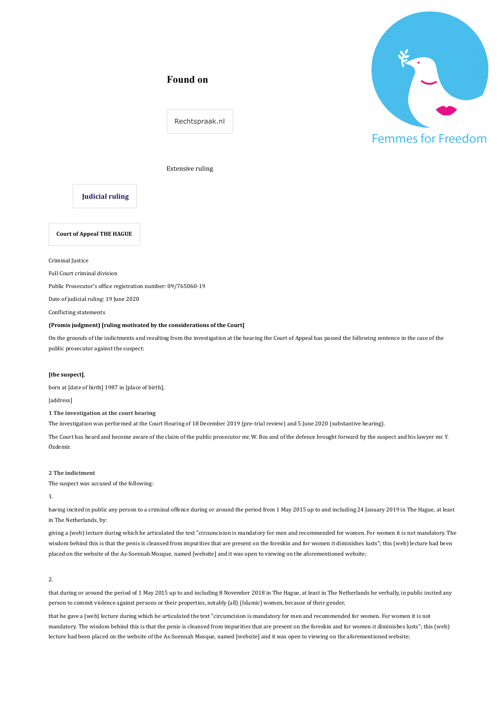# **Found on**



Rechtspraak.nl

## Extensive ruling

## **Judicial ruling**

**Court of Appeal THE HAGUE**

Criminal Justice

Full Court criminal division

Public Prosecutor's office registration number: 09/765060-19

Date of judicial ruling: 19 June 2020

Conflicting statements

#### **(Promis judgment)** [ruling motivated by the considerations of the Court]

On the grounds of the indictments and resulting from the investigation at the hearing the Court of Appeal has passed the following sentence in the case of the public prosecutor against the suspect:

### [the suspect],

born at [date of birth] 1987 in [place of birth],

[address]

**1** The investigation at the court hearing

The investigation was performed at the Court Hearing of 18 December 2019 (pre-trial review) and 5 June 2020 (substantive hearing).

The Court has heard and become aware of the claim of the public prosecutor mr. W. Bos and of the defence brought forward by the suspect and his lawyer mr. Y. Özdemir.

## **2** The indictment

The suspect was accused of the following:

1.

having incited in public any person to a criminal offence during or around the period from 1 May 2015 up to and including 24 January 2019 in The Hague, at least in The Netherlands, by:

giving a (web) lecture during which he articulated the text "circumcision is mandatory for men and recommended for women. For women it is not mandatory. The wisdom behind this is that the penis is cleansed from impurities that are present on the foreskin and for women it diminishes lusts"; this (web) lecture had been placed on the website of the As-Soennah Mosque, named [website] and it was open to viewing on the aforementioned website;

2.

that during or around the period of 1 May 2015 up to and including 8 November 2018 in The Hague, at least in The Netherlands he verbally, in public incited any person to commit violence against persons or their properties, notably (all) (Islamic) women, because of their gender,

that he gave a (web) lecture during which he articulated the text "circumcision is mandatory for men and recommended for women. For women it is not mandatory. The wisdom behind this is that the penis is cleansed from impurities that are present on the foreskin and for women it diminishes lusts"; this (web) lecture had been placed on the website of the As-Soennah Mosque, named [website] and it was open to viewing on the aforementioned website;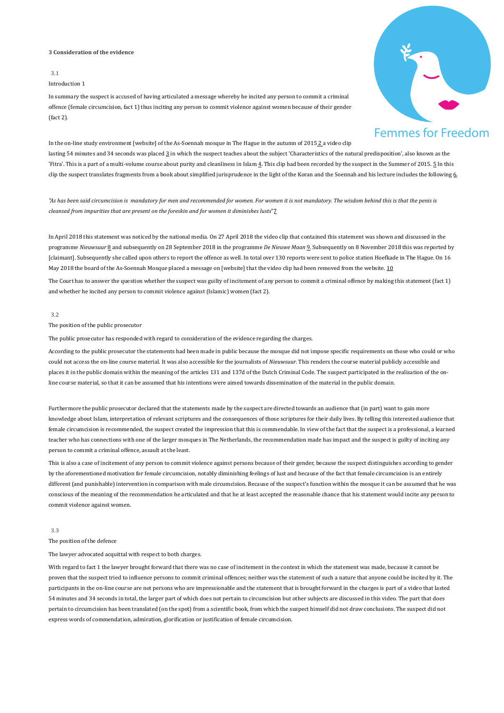## **3** Consideration of the evidence

## 3.1

## Introduction 1

In summary the suspect is accused of having articulated a message whereby he incited any person to commit a criminal offence (female circumcision, fact 1) thus inciting any person to commit violence against women because of their gender  $(fact 2)$ .



In the on-line study environment [website] of the As-Soennah mosque in The Hague in the autumn of  $2015 \underline{2}$  a video clip

lasting 54 minutes and 34 seconds was placed  $\underline{3}$  in which the suspect teaches about the subject 'Characteristics of the natural predisposition', also known as the 'Fitra'. This is a part of a multi-volume course about purity and cleanliness in Islam 4. This clip had been recorded by the suspect in the Summer of 2015.  $\Sigma$  In this clip the suspect translates fragments from a book about simplified jurisprudence in the light of the Koran and the Soennah and his lecture includes the following 6.

"As has been said circumcision is mandatory for men and recommended for women. For women it is not mandatory. The wisdom behind this is that the penis is *cleansed from impurities that are present on the foreskin and for women it diminishes lusts*"<sup>7</sup>

In April 2018 this statement was noticed by the national media. On 27 April 2018 the video clip that contained this statement was shown and discussed in the programme *Nieuwsuur* 8 and subsequently on 28 September 2018 in the programme *De Nieuwe Maan* 9. Subsequently on 8 November 2018 this was reported by [claimant]. Subsequently she called upon others to report the offence as well. In total over 130 reports were sent to police station Hoefkade in The Hague. On 16 May 2018 the board of the As-Soennah Mosque placed a message on [website] that the video clip had been removed from the website. 10

The Court has to answer the question whether the suspect was guilty of incitement of any person to commit a criminal offence by making this statement (fact 1) and whether he incited any person to commit violence against (Islamic) women (fact 2).

## 3.2

#### The position of the public prosecutor

The public prosecutor has responded with regard to consideration of the evidence regarding the charges.

According to the public prosecutor the statements had been made in public because the mosque did not impose specific requirements on those who could or who could not access the on-line course material. It was also accessible for the journalists of *Nieuwsuur*. This renders the course material publicly accessible and places it in the public domain within the meaning of the articles 131 and 137d of the Dutch Criminal Code. The suspect participated in the realisation of the online course material, so that it can be assumed that his intentions were aimed towards dissemination of the material in the public domain.

Furthermore the public prosecutor declared that the statements made by the suspect are directed towards an audience that (in part) want to gain more knowledge about Islam, interpretation of relevant scriptures and the consequences of those scriptures for their daily lives. By telling this interested audience that female circumcision is recommended, the suspect created the impression that this is commendable. In view of the fact that the suspect is a professional, a learned teacher who has connections with one of the larger mosques in The Netherlands, the recommendation made has impact and the suspect is guilty of inciting any person to commit a criminal offence, assault at the least.

This is also a case of incitement of any person to commit violence against persons because of their gender, because the suspect distinguishes according to gender by the aforementioned motivation for female circumcision, notably diminishing feelings of lust and because of the fact that female circumcision is an entirely different (and punishable) intervention in comparison with male circumcision. Because of the suspect's function within the mosque it can be assumed that he was conscious of the meaning of the recommendation he articulated and that he at least accepted the reasonable chance that his statement would incite any person to commit violence against women.

#### 3.3

The position of the defence

The lawyer advocated acquittal with respect to both charges.

With regard to fact 1 the lawyer brought forward that there was no case of incitement in the context in which the statement was made, because it cannot be proven that the suspect tried to influence persons to commit criminal offences; neither was the statement of such a nature that anyone could be incited by it. The participants in the on-line course are not persons who are impressionable and the statement that is brought forward in the charges is part of a video that lasted 54 minutes and 34 seconds in total, the larger part of which does not pertain to circumcision but other subjects are discussed in this video. The part that does pertain to circumcision has been translated (on the spot) from a scientific book, from which the suspect himself did not draw conclusions. The suspect did not express words of commendation, admiration, glorification or justification of female circumcision.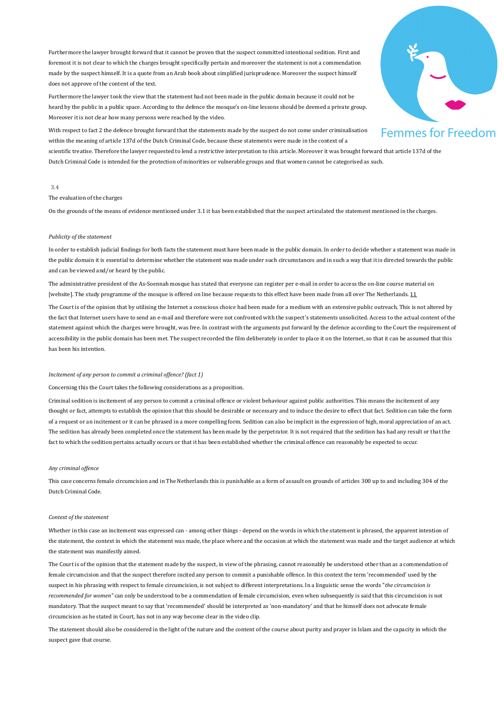Furthermore the lawyer brought forward that it cannot be proven that the suspect committed intentional sedition. First and foremost it is not clear to which the charges brought specifically pertain and moreover the statement is not a commendation made by the suspect himself. It is a quote from an Arab book about simplified jurisprudence. Moreover the suspect himself does not approve of the content of the text.

Furthermore the lawyer took the view that the statement had not been made in the public domain because it could not be heard by the public in a public space. According to the defence the mosque's on-line lessons should be deemed a private group. Moreover it is not clear how many persons were reached by the video.

With respect to fact 2 the defence brought forward that the statements made by the suspect do not come under criminalisation within the meaning of article 137d of the Dutch Criminal Code, because these statements were made in the context of a

scientific treatise. Therefore the lawyer requested to lend a restrictive interpretation to this article. Moreover it was brought forward that article 137d of the Dutch Criminal Code is intended for the protection of minorities or vulnerable groups and that women cannot be categorised as such.

#### 3.4

The evaluation of the charges

On the grounds of the means of evidence mentioned under 3.1 it has been established that the suspect articulated the statement mentioned in the charges.

### *Publicity of the statement*

In order to establish judicial findings for both facts the statement must have been made in the public domain. In order to decide whether a statement was made in the public domain it is essential to determine whether the statement was made under such circumstances and in such a way that it is directed towards the public and can be viewed and/or heard by the public.

The administrative president of the As-Soennah mosque has stated that everyone can register per e-mail in order to access the on-line course material on [website]. The study programme of the mosque is offered on line because requests to this effect have been made from all over The Netherlands. 11

The Court is of the opinion that by utilising the Internet a conscious choice had been made for a medium with an extensive public outreach. This is not altered by the fact that Internet users have to send an e-mail and therefore were not confronted with the suspect's statements unsolicited. Access to the actual content of the statement against which the charges were brought, was free. In contrast with the arguments put forward by the defence according to the Court the requirement of accessibility in the public domain has been met. The suspect recorded the film deliberately in order to place it on the Internet, so that it can be assumed that this has been his intention.

### *Incitement of any person to commit a criminal offence? (fact 1)*

Concerning this the Court takes the following considerations as a proposition.

Criminal sedition is incitement of any person to commit a criminal offence or violent behaviour against public authorities. This means the incitement of any thought or fact, attempts to establish the opinion that this should be desirable or necessary and to induce the desire to effect that fact. Sedition can take the form of a request or an incitement or it can be phrased in a more compelling form. Sedition can also be implicit in the expression of high, moral appreciation of an act. The sedition has already been completed once the statement has been made by the perpetrator. It is not required that the sedition has had any result or that the fact to which the sedition pertains actually occurs or that it has been established whether the criminal offence can reasonably be expected to occur.

## *Any criminal offence*

This case concerns female circumcision and in The Netherlands this is punishable as a form of assault on grounds of articles 300 up to and including 304 of the Dutch Criminal Code.

#### *Context of the statement*

Whether in this case an incitement was expressed can - among other things - depend on the words in which the statement is phrased, the apparent intention of the statement, the context in which the statement was made, the place where and the occasion at which the statement was made and the target audience at which the statement was manifestly aimed.

The Court is of the opinion that the statement made by the suspect, in view of the phrasing, cannot reasonably be understood other than as a commendation of female circumcision and that the suspect therefore incited any person to commit a punishable offence. In this context the term 'recommended' used by the suspect in his phrasing with respect to female circumcision, is not subject to different interpretations. In a linguistic sense the words "the circumcision is recommended for women" can only be understood to be a commendation of female circumcision, even when subsequently is said that this circumcision is not mandatory. That the suspect meant to say that 'recommended' should be interpreted as 'non-mandatory' and that he himself does not advocate female circumcision as he stated in Court, has not in any way become clear in the video clip.

The statement should also be considered in the light of the nature and the content of the course about purity and prayer in Islam and the capacity in which the suspect gave that course.

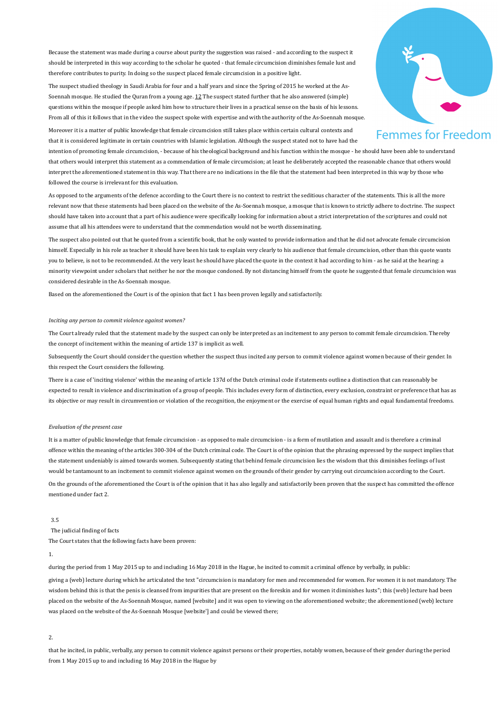Because the statement was made during a course about purity the suggestion was raised - and according to the suspect it should be interpreted in this way according to the scholar he quoted - that female circumcision diminishes female lust and therefore contributes to purity. In doing so the suspect placed female circumcision in a positive light.

The suspect studied theology in Saudi Arabia for four and a half years and since the Spring of 2015 he worked at the As-Soennah mosque. He studied the Quran from a young age. 12 The suspect stated further that he also answered (simple) questions within the mosque if people asked him how to structure their lives in a practical sense on the basis of his lessons. From all of this it follows that in the video the suspect spoke with expertise and with the authority of the As-Soennah mosque.



Moreover it is a matter of public knowledge that female circumcision still takes place within certain cultural contexts and that it is considered legitimate in certain countries with Islamic legislation. Although the suspect stated not to have had the

intention of promoting female circumcision, - because of his theological background and his function within the mosque - he should have been able to understand that others would interpret this statement as a commendation of female circumcision; at least he deliberately accepted the reasonable chance that others would interpret the aforementioned statement in this way. That there are no indications in the file that the statement had been interpreted in this way by those who followed the course is irrelevant for this evaluation.

As opposed to the arguments of the defence according to the Court there is no context to restrict the seditious character of the statements. This is all the more relevant now that these statements had been placed on the website of the As-Soennah mosque, a mosque that is known to strictly adhere to doctrine. The suspect should have taken into account that a part of his audience were specifically looking for information about a strict interpretation of the scriptures and could not assume that all his attendees were to understand that the commendation would not be worth disseminating.

The suspect also pointed out that he quoted from a scientific book, that he only wanted to provide information and that he did not advocate female circumcision himself. Especially in his role as teacher it should have been his task to explain very clearly to his audience that female circumcision, other than this quote wants you to believe, is not to be recommended. At the very least he should have placed the quote in the context it had according to him - as he said at the hearing: a minority viewpoint under scholars that neither he nor the mosque condoned. By not distancing himself from the quote he suggested that female circumcision was considered desirable in the As-Soennah mosque.

Based on the aforementioned the Court is of the opinion that fact 1 has been proven legally and satisfactorily.

#### *Inciting any person to commit violence against women?*

The Court already ruled that the statement made by the suspect can only be interpreted as an incitement to any person to commit female circumcision. Thereby the concept of incitement within the meaning of article 137 is implicit as well.

Subsequently the Court should consider the question whether the suspect thus incited any person to commit violence against women because of their gender. In this respect the Court considers the following.

There is a case of 'inciting violence' within the meaning of article 137d of the Dutch criminal code if statements outline a distinction that can reasonably be expected to result in violence and discrimination of a group of people. This includes every form of distinction, every exclusion, constraint or preference that has as its objective or may result in circumvention or violation of the recognition, the enjoyment or the exercise of equal human rights and equal fundamental freedoms.

#### *Evaluation of the present case*

It is a matter of public knowledge that female circumcision - as opposed to male circumcision - is a form of mutilation and assault and is therefore a criminal offence within the meaning of the articles 300-304 of the Dutch criminal code. The Court is of the opinion that the phrasing expressed by the suspect implies that the statement undeniably is aimed towards women. Subsequently stating that behind female circumcision lies the wisdom that this diminishes feelings of lust would be tantamount to an incitement to commit violence against women on the grounds of their gender by carrying out circumcision according to the Court. On the grounds of the aforementioned the Court is of the opinion that it has also legally and satisfactorily been proven that the suspect has committed the offence mentioned under fact 2.

## 3.5

The judicial finding of facts

The Court states that the following facts have been proven:

## 1.

during the period from 1 May 2015 up to and including 16 May 2018 in the Hague, he incited to commit a criminal offence by verbally, in public:

giving a (web) lecture during which he articulated the text "circumcision is mandatory for men and recommended for women. For women it is not mandatory. The wisdom behind this is that the penis is cleansed from impurities that are present on the foreskin and for women it diminishes lusts"; this (web) lecture had been placed on the website of the As-Soennah Mosque, named [website] and it was open to viewing on the aforementioned website; the aforementioned (web) lecture was placed on the website of the As-Soennah Mosque [website'] and could be viewed there;

 $\overline{2}$ 

that he incited, in public, verbally, any person to commit violence against persons or their properties, notably women, because of their gender during the period from 1 May 2015 up to and including 16 May 2018 in the Hague by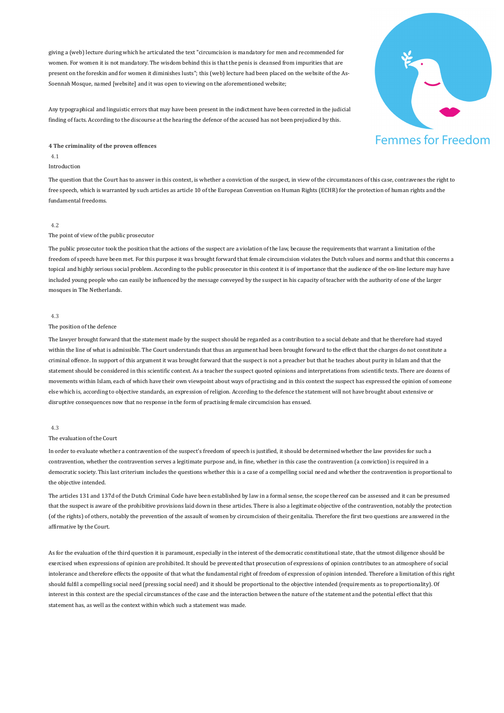giving a (web) lecture during which he articulated the text "circumcision is mandatory for men and recommended for women. For women it is not mandatory. The wisdom behind this is that the penis is cleansed from impurities that are present on the foreskin and for women it diminishes lusts"; this (web) lecture had been placed on the website of the As-Soennah Mosque, named [website] and it was open to viewing on the aforementioned website;

Any typographical and linguistic errors that may have been present in the indictment have been corrected in the judicial finding of facts. According to the discourse at the hearing the defence of the accused has not been prejudiced by this.

## **4** The criminality of the proven offences

#### 4.1

## Introduction

The question that the Court has to answer in this context, is whether a conviction of the suspect, in view of the circumstances of this case, contravenes the right to free speech, which is warranted by such articles as article 10 of the European Convention on Human Rights (ECHR) for the protection of human rights and the fundamental freedoms.

## 4.2

## The point of view of the public prosecutor

The public prosecutor took the position that the actions of the suspect are a violation of the law, because the requirements that warrant a limitation of the freedom of speech have been met. For this purpose it was brought forward that female circumcision violates the Dutch values and norms and that this concerns a topical and highly serious social problem. According to the public prosecutor in this context it is of importance that the audience of the on-line lecture may have included young people who can easily be influenced by the message conveyed by the suspect in his capacity of teacher with the authority of one of the larger mosques in The Netherlands.

#### 4.3

#### The position of the defence

The lawyer brought forward that the statement made by the suspect should be regarded as a contribution to a social debate and that he therefore had stayed within the line of what is admissible. The Court understands that thus an argument had been brought forward to the effect that the charges do not constitute a criminal offence. In support of this argument it was brought forward that the suspect is not a preacher but that he teaches about purity in Islam and that the statement should be considered in this scientific context. As a teacher the suspect quoted opinions and interpretations from scientific texts. There are dozens of movements within Islam, each of which have their own viewpoint about ways of practising and in this context the suspect has expressed the opinion of someone else which is, according to objective standards, an expression of religion. According to the defence the statement will not have brought about extensive or disruptive consequences now that no response in the form of practising female circumcision has ensued.

### 4.3

#### The evaluation of the Court

In order to evaluate whether a contravention of the suspect's freedom of speech is justified, it should be determined whether the law provides for such a contravention, whether the contravention serves a legitimate purpose and, in fine, whether in this case the contravention (a conviction) is required in a democratic society. This last criterium includes the questions whether this is a case of a compelling social need and whether the contravention is proportional to the objective intended.

The articles 131 and 137d of the Dutch Criminal Code have been established by law in a formal sense, the scope thereof can be assessed and it can be presumed that the suspect is aware of the prohibitive provisions laid down in these articles. There is also a legitimate objective of the contravention, notably the protection (of the rights) of others, notably the prevention of the assault of women by circumcision of their genitalia. Therefore the first two questions are answered in the affirmative by the Court.

As for the evaluation of the third question it is paramount, especially in the interest of the democratic constitutional state, that the utmost diligence should be exercised when expressions of opinion are prohibited. It should be prevented that prosecution of expressions of opinion contributes to an atmosphere of social intolerance and therefore effects the opposite of that what the fundamental right of freedom of expression of opinion intended. Therefore a limitation of this right should fulfil a compelling social need (pressing social need) and it should be proportional to the objective intended (requirements as to proportionality). Of interest in this context are the special circumstances of the case and the interaction between the nature of the statement and the potential effect that this statement has, as well as the context within which such a statement was made.

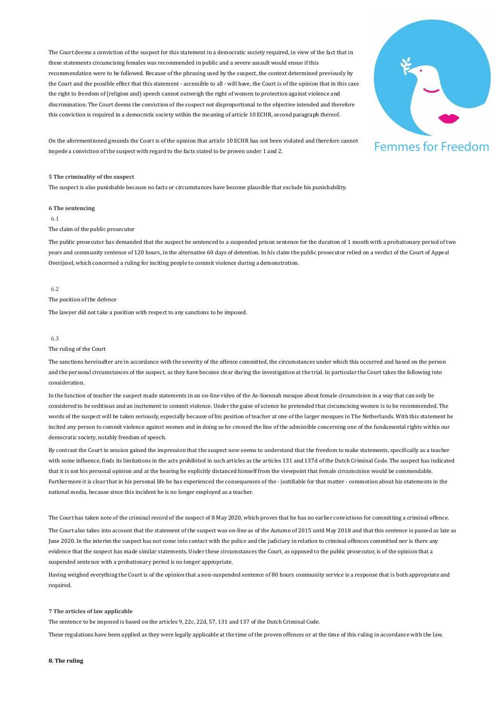The Court deems a conviction of the suspect for this statement in a democratic society required, in view of the fact that in these statements circumcising females was recommended in public and a severe assault would ensue if this recommendation were to be followed. Because of the phrasing used by the suspect, the context determined previously by the Court and the possible effect that this statement - accessible to all - will have, the Court is of the opinion that in this case the right to freedom of (religion and) speech cannot outweigh the right of women to protection against violence and discrimination. The Court deems the conviction of the suspect not disproportional to the objective intended and therefore this conviction is required in a democratic society within the meaning of article 10 ECHR, second paragraph thereof.



On the aforementioned grounds the Court is of the opinion that article 10 ECHR has not been violated and therefore cannot impede a conviction of the suspect with regard to the facts stated to be proven under 1 and 2.

#### **5** The criminality of the suspect

The suspect is also punishable because no facts or circumstances have become plausible that exclude his punishability.

**6** The sentencing

6.1

## The claim of the public prosecutor

The public prosecutor has demanded that the suspect be sentenced to a suspended prison sentence for the duration of 1 month with a probationary period of two years and community sentence of 120 hours, in the alternative 60 days of detention. In his claim the public prosecutor relied on a verdict of the Court of Appeal Overijssel, which concerned a ruling for inciting people to commit violence during a demonstration.

#### 6.2

## The position of the defence

The lawyer did not take a position with respect to any sanctions to be imposed.

#### 6.3

### The ruling of the Court

The sanctions hereinafter are in accordance with the severity of the offence committed, the circumstances under which this occurred and based on the person and the personal circumstances of the suspect, as they have become clear during the investigation at the trial. In particular the Court takes the following into consideration.

In the function of teacher the suspect made statements in an on-line video of the As-Soennah mosque about female circumcision in a way that can only be considered to be seditious and an incitement to commit violence. Under the guise of science he pretended that circumcising women is to be recommended. The words of the suspect will be taken seriously, especially because of his position of teacher at one of the larger mosques in The Netherlands. With this statement he incited any person to commit violence against women and in doing so he crossed the line of the admissible concerning one of the fundamental rights within our democratic society, notably freedom of speech.

By contrast the Court in session gained the impression that the suspect now seems to understand that the freedom to make statements, specifically as a teacher with some influence, finds its limitations in the acts prohibited in such articles as the articles 131 and 137d of the Dutch Criminal Code. The suspect has indicated that it is not his personal opinion and at the hearing he explicitly distanced himself from the viewpoint that female circumcision would be commendable. Furthermore it is clear that in his personal life he has experienced the consequences of the - justifiable for that matter - commotion about his statements in the national media, because since this incident he is no longer employed as a teacher.

The Court has taken note of the criminal record of the suspect of 8 May 2020, which proves that he has no earlier convictions for committing a criminal offence.

The Court also takes into account that the statement of the suspect was on-line as of the Autumn of 2015 until May 2018 and that this sentence is passed as late as June 2020. In the interim the suspect has not come into contact with the police and the judiciary in relation to criminal offences committed nor is there any evidence that the suspect has made similar statements. Under these circumstances the Court, as opposed to the public prosecutor, is of the opinion that a suspended sentence with a probationary period is no longer appropriate.

Having weighed everything the Court is of the opinion that a non-suspended sentence of 80 hours community service is a response that is both appropriate and required.

#### **7 The articles of law applicable**

The sentence to be imposed is based on the articles 9, 22c, 22d, 57, 131 and 137 of the Dutch Criminal Code.

These regulations have been applied as they were legally applicable at the time of the proven offences or at the time of this ruling in accordance with the law.